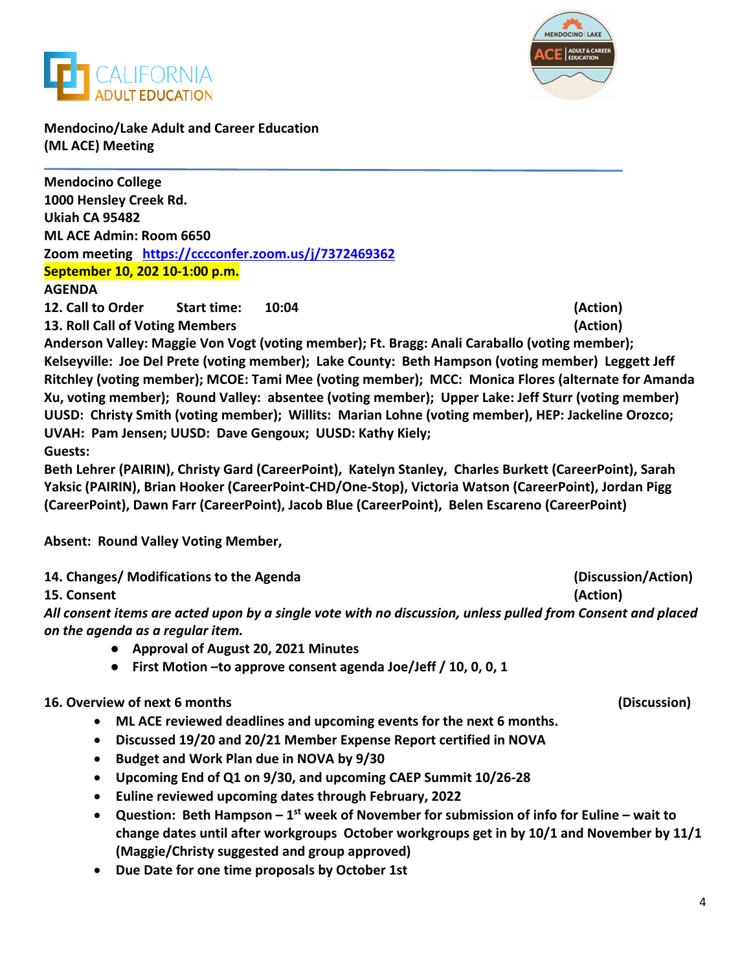



**Mendocino/Lake Adult and Career Education (ML ACE) Meeting**

**Mendocino College 1000 Hensley Creek Rd. Ukiah CA 95482 ML ACE Admin: Room 6650 Zoom meeting <https://cccconfer.zoom.us/j/7372469362> September 10, 202 10-1:00 p.m. AGENDA** 

**12. Call to Order Start time: 10:04 (Action)**

**13. Roll Call of Voting Members (Action)**

**Anderson Valley: Maggie Von Vogt (voting member); Ft. Bragg: Anali Caraballo (voting member); Kelseyville: Joe Del Prete (voting member); Lake County: Beth Hampson (voting member) Leggett Jeff Ritchley (voting member); MCOE: Tami Mee (voting member); MCC: Monica Flores (alternate for Amanda Xu, voting member); Round Valley: absentee (voting member); Upper Lake: Jeff Sturr (voting member) UUSD: Christy Smith (voting member); Willits: Marian Lohne (voting member), HEP: Jackeline Orozco; UVAH: Pam Jensen; UUSD: Dave Gengoux; UUSD: Kathy Kiely; Guests:**

**Beth Lehrer (PAIRIN), Christy Gard (CareerPoint), Katelyn Stanley, Charles Burkett (CareerPoint), Sarah Yaksic (PAIRIN), Brian Hooker (CareerPoint-CHD/One-Stop), Victoria Watson (CareerPoint), Jordan Pigg (CareerPoint), Dawn Farr (CareerPoint), Jacob Blue (CareerPoint), Belen Escareno (CareerPoint)**

**Absent: Round Valley Voting Member,** 

**14. Changes/ Modifications to the Agenda (Discussion/Action)**

**15. Consent (Action)**

*All consent items are acted upon by a single vote with no discussion, unless pulled from Consent and placed on the agenda as a regular item.* 

- **Approval of August 20, 2021 Minutes**
- **First Motion –to approve consent agenda Joe/Jeff / 10, 0, 0, 1**

## **16. Overview of next 6 months (Discussion)**

- **ML ACE reviewed deadlines and upcoming events for the next 6 months.**
- **Discussed 19/20 and 20/21 Member Expense Report certified in NOVA**
- **Budget and Work Plan due in NOVA by 9/30**
- **Upcoming End of Q1 on 9/30, and upcoming CAEP Summit 10/26-28**
- **Euline reviewed upcoming dates through February, 2022**
- **Question: Beth Hampson – 1st week of November for submission of info for Euline – wait to change dates until after workgroups October workgroups get in by 10/1 and November by 11/1 (Maggie/Christy suggested and group approved)**
- **Due Date for one time proposals by October 1st**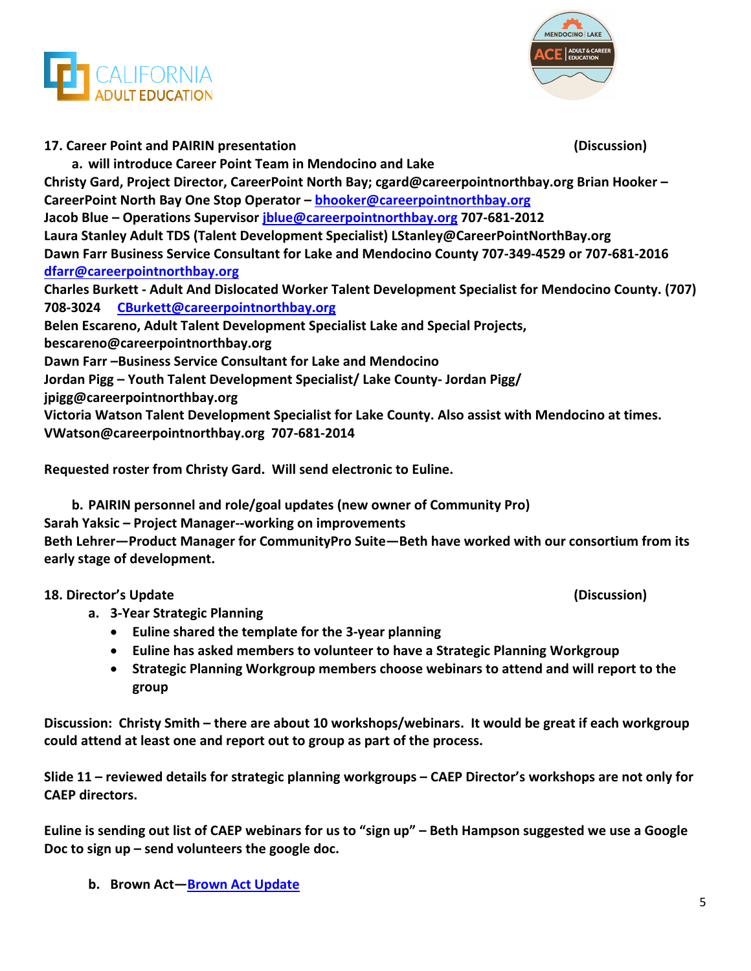



**17. Career Point and PAIRIN presentation (Discussion) a. will introduce Career Point Team in Mendocino and Lake Christy Gard, Project Director, CareerPoint North Bay; cgard@careerpointnorthbay.org Brian Hooker – CareerPoint North Bay One Stop Operator – [bhooker@careerpointnorthbay.org](mailto:bhooker@careerpointnorthbay.org) Jacob Blue – Operations Supervisor [jblue@careerpointnorthbay.org](mailto:jblue@careerpointnorthbay.org) 707-681-2012 Laura Stanley Adult TDS (Talent Development Specialist) LStanley@CareerPointNorthBay.org Dawn Farr Business Service Consultant for Lake and Mendocino County 707-349-4529 or 707-681-2016 [dfarr@careerpointnorthbay.org](mailto:dfarr@careerpointnorthbay.org) Charles Burkett - Adult And Dislocated Worker Talent Development Specialist for Mendocino County. (707) 708-3024 [CBurkett@careerpointnorthbay.org](mailto:CBurkett@careerpointnorthbay.org) Belen Escareno, Adult Talent Development Specialist Lake and Special Projects, bescareno@careerpointnorthbay.org Dawn Farr –Business Service Consultant for Lake and Mendocino Jordan Pigg – Youth Talent Development Specialist/ Lake County- Jordan Pigg/ jpigg@careerpointnorthbay.org Victoria Watson Talent Development Specialist for Lake County. Also assist with Mendocino at times. VWatson@careerpointnorthbay.org 707-681-2014**

**Requested roster from Christy Gard. Will send electronic to Euline.**

**b. PAIRIN personnel and role/goal updates (new owner of Community Pro) Sarah Yaksic – Project Manager--working on improvements Beth Lehrer—Product Manager for CommunityPro Suite—Beth have worked with our consortium from its early stage of development.**

## **18. Director's Update (Discussion)**

- **a. 3-Year Strategic Planning**
	- **Euline shared the template for the 3-year planning**
	- **Euline has asked members to volunteer to have a Strategic Planning Workgroup**
	- **Strategic Planning Workgroup members choose webinars to attend and will report to the group**

**Discussion: Christy Smith – there are about 10 workshops/webinars. It would be great if each workgroup could attend at least one and report out to group as part of the process.**

**Slide 11 – reviewed details for strategic planning workgroups – CAEP Director's workshops are not only for CAEP directors.**

**Euline is sending out list of CAEP webinars for us to "sign up" – Beth Hampson suggested we use a Google Doc to sign up – send volunteers the google doc.**

**b. Brown Act[—Brown Act Update](https://www.keenan.com/Resources/Briefings/Briefings-Detail/virtual-brown-act-meetings-will-expire-september-30th)**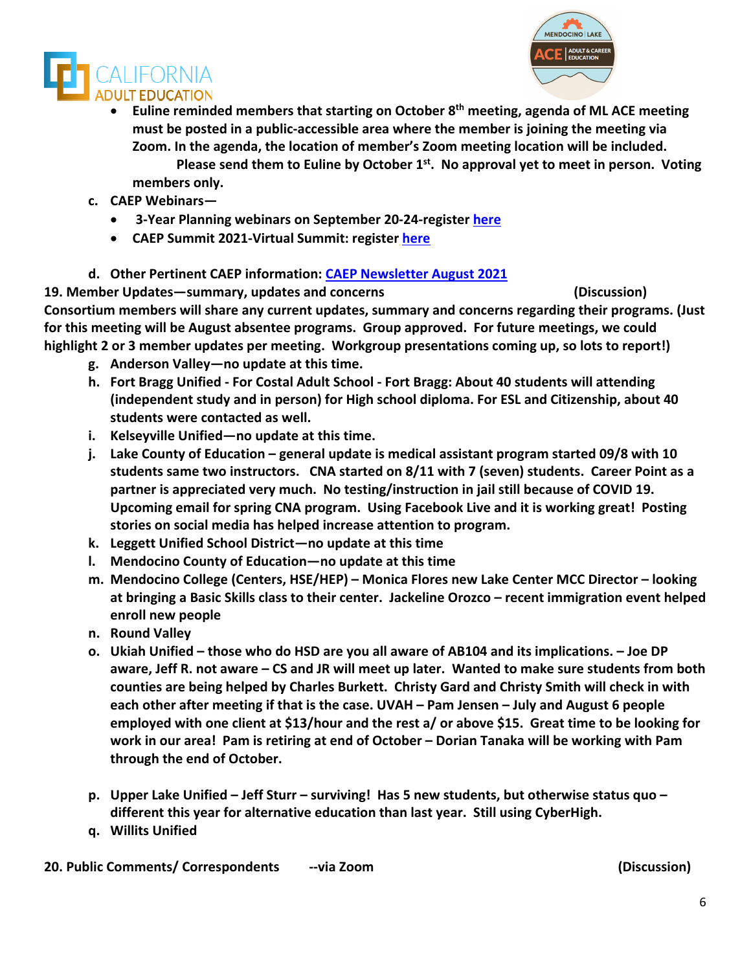



- **Euline reminded members that starting on October 8th meeting, agenda of ML ACE meeting must be posted in a public-accessible area where the member is joining the meeting via Zoom. In the agenda, the location of member's Zoom meeting location will be included. Please send them to Euline by October 1st. No approval yet to meet in person. Voting members only.**
- **c. CAEP Webinars—**
	- **3-Year Planning webinars on September 20-24-register [here](https://register.caladulted.org/)**
	- **CAEP Summit 2021-Virtual Summit: register [here](https://caepsummit21.vfairs.com/)**
- **d. Other Pertinent CAEP information: [CAEP Newsletter August 2021](https://myemail.constantcontact.com/This-Friday--CAEP-Summit-2021-Call-for-Proposals-Close--CAEP-Model-Program-Submissions-Are-Still-Open--CAEP-Program-Area-Report-.html?soid=1114865855964&aid=sDfgRsdh7XM)**

**19. Member Updates—summary, updates and concerns (Discussion) Consortium members will share any current updates, summary and concerns regarding their programs. (Just for this meeting will be August absentee programs. Group approved. For future meetings, we could highlight 2 or 3 member updates per meeting. Workgroup presentations coming up, so lots to report!)**

- **g. Anderson Valley—no update at this time.**
- **h. Fort Bragg Unified - For Costal Adult School - Fort Bragg: About 40 students will attending (independent study and in person) for High school diploma. For ESL and Citizenship, about 40 students were contacted as well.**
- **i. Kelseyville Unified—no update at this time.**
- **j. Lake County of Education – general update is medical assistant program started 09/8 with 10 students same two instructors. CNA started on 8/11 with 7 (seven) students. Career Point as a partner is appreciated very much. No testing/instruction in jail still because of COVID 19. Upcoming email for spring CNA program. Using Facebook Live and it is working great! Posting stories on social media has helped increase attention to program.**
- **k. Leggett Unified School District—no update at this time**
- **l. Mendocino County of Education—no update at this time**
- **m. Mendocino College (Centers, HSE/HEP) – Monica Flores new Lake Center MCC Director – looking at bringing a Basic Skills class to their center. Jackeline Orozco – recent immigration event helped enroll new people**
- **n. Round Valley**
- **o. Ukiah Unified – those who do HSD are you all aware of AB104 and its implications. – Joe DP aware, Jeff R. not aware – CS and JR will meet up later. Wanted to make sure students from both counties are being helped by Charles Burkett. Christy Gard and Christy Smith will check in with each other after meeting if that is the case. UVAH – Pam Jensen – July and August 6 people employed with one client at \$13/hour and the rest a/ or above \$15. Great time to be looking for work in our area! Pam is retiring at end of October – Dorian Tanaka will be working with Pam through the end of October.**
- **p. Upper Lake Unified – Jeff Sturr – surviving! Has 5 new students, but otherwise status quo – different this year for alternative education than last year. Still using CyberHigh.**
- **q. Willits Unified**

**20. Public Comments/ Correspondents --via Zoom (Discussion)**